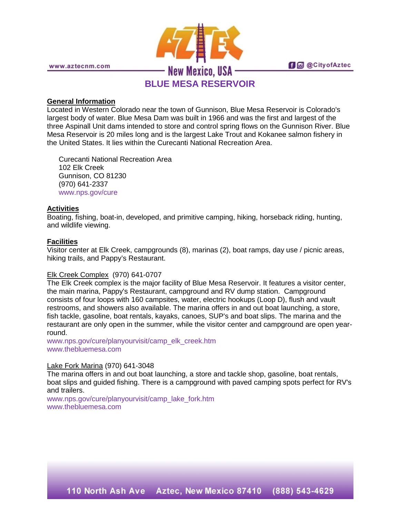

**fi** @ @ City of Aztec

# **General Information**

Located in Western Colorado near the town of Gunnison, Blue Mesa Reservoir is Colorado's largest body of water. Blue Mesa Dam was built in 1966 and was the first and largest of the three Aspinall Unit dams intended to store and control spring flows on the Gunnison River. Blue Mesa Reservoir is 20 miles long and is the largest Lake Trout and Kokanee salmon fishery in the United States. It lies within the Curecanti National Recreation Area.

Curecanti National Recreation Area 102 Elk Creek Gunnison, CO 81230 (970) 641-2337 [www.nps.gov/cure](http://www.nps.gov/cure)

# **Activities**

Boating, fishing, boat-in, developed, and primitive camping, hiking, horseback riding, hunting, and wildlife viewing.

### **Facilities**

Visitor center at Elk Creek, campgrounds (8), marinas (2), boat ramps, day use / picnic areas, hiking trails, and Pappy's Restaurant.

#### Elk Creek Complex (970) 641-0707

The Elk Creek complex is the major facility of Blue Mesa Reservoir. It features a visitor center, the main marina, Pappy's Restaurant, campground and RV dump station. Campground consists of four loops with 160 campsites, water, electric hookups (Loop D), flush and vault restrooms, and showers also available. The marina offers in and out boat launching, a store, fish tackle, gasoline, boat rentals, kayaks, canoes, SUP's and boat slips. The marina and the restaurant are only open in the summer, while the visitor center and campground are open yearround.

[www.nps.gov/cure/planyourvisit/camp\\_elk\\_creek.htm](http://www.nps.gov/cure/planyourvisit/camp_elk_creek.htm) [www.thebluemesa.com](http://www.thebluemesa.com/)

### Lake Fork Marina (970) 641-3048

The marina offers in and out boat launching, a store and tackle shop, gasoline, boat rentals, boat slips and guided fishing. There is a campground with paved camping spots perfect for RV's and trailers.

[www.nps.gov/cure/planyourvisit/camp\\_lake\\_fork.htm](http://www.nps.gov/cure/planyourvisit/camp_lake_fork.htm) [www.thebluemesa.com](http://www.thebluemesa.com/)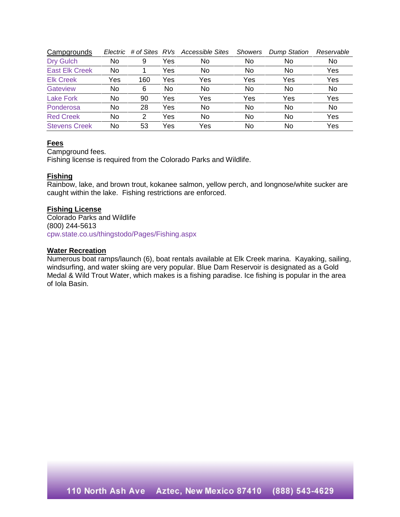| Campgrounds           | Electric | # of Sites RVs |     | Accessible Sites | <b>Showers</b> | <b>Dump Station</b> | Reservable |
|-----------------------|----------|----------------|-----|------------------|----------------|---------------------|------------|
| <b>Dry Gulch</b>      | No       | 9              | Yes | No               | No             | No                  | No         |
| <b>East Elk Creek</b> | No       |                | Yes | No               | No             | No                  | Yes        |
| <b>Elk Creek</b>      | Yes      | 160            | Yes | Yes              | Yes            | Yes                 | Yes        |
| Gateview              | No       | 6              | No  | No               | No             | No                  | No         |
| <b>Lake Fork</b>      | No       | 90             | Yes | Yes              | Yes            | Yes                 | Yes        |
| Ponderosa             | No       | 28             | Yes | No               | No             | <b>No</b>           | No         |
| <b>Red Creek</b>      | No       | 2              | Yes | No               | No             | No                  | Yes        |
| <b>Stevens Creek</b>  | No       | 53             | Yes | Yes              | No             | No                  | Yes        |

## **Fees**

Campground fees.

Fishing license is required from the Colorado Parks and Wildlife.

### **Fishing**

Rainbow, lake, and brown trout, kokanee salmon, yellow perch, and longnose/white sucker are caught within the lake. Fishing restrictions are enforced.

### **Fishing License**

Colorado Parks and Wildlife (800) 244-5613 [cpw.state.co.us/thingstodo/Pages/Fishing.aspx](http://cpw.state.co.us/thingstodo/Pages/Fishing.aspx)

#### **Water Recreation**

Numerous boat ramps/launch (6), boat rentals available at Elk Creek marina. Kayaking, sailing, windsurfing, and water skiing are very popular. Blue Dam Reservoir is designated as a Gold Medal & Wild Trout Water, which makes is a fishing paradise. Ice fishing is popular in the area of Iola Basin.